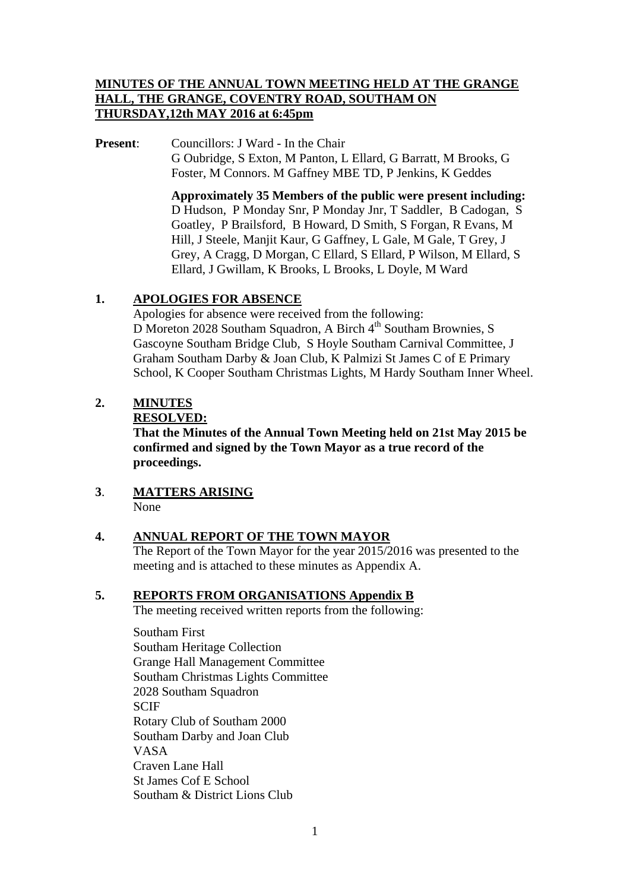## **MINUTES OF THE ANNUAL TOWN MEETING HELD AT THE GRANGE HALL, THE GRANGE, COVENTRY ROAD, SOUTHAM ON THURSDAY,12th MAY 2016 at 6:45pm**

**Present:** Councillors: J Ward - In the Chair G Oubridge, S Exton, M Panton, L Ellard, G Barratt, M Brooks, G Foster, M Connors. M Gaffney MBE TD, P Jenkins, K Geddes

> **Approximately 35 Members of the public were present including:**  D Hudson, P Monday Snr, P Monday Jnr, T Saddler, B Cadogan, S Goatley, P Brailsford, B Howard, D Smith, S Forgan, R Evans, M Hill, J Steele, Manjit Kaur, G Gaffney, L Gale, M Gale, T Grey, J Grey, A Cragg, D Morgan, C Ellard, S Ellard, P Wilson, M Ellard, S Ellard, J Gwillam, K Brooks, L Brooks, L Doyle, M Ward

## **1. APOLOGIES FOR ABSENCE**

Apologies for absence were received from the following: D Moreton 2028 Southam Squadron, A Birch 4<sup>th</sup> Southam Brownies, S Gascoyne Southam Bridge Club, S Hoyle Southam Carnival Committee, J Graham Southam Darby & Joan Club, K Palmizi St James C of E Primary School, K Cooper Southam Christmas Lights, M Hardy Southam Inner Wheel.

## **2. MINUTES**

#### **RESOLVED:**

**That the Minutes of the Annual Town Meeting held on 21st May 2015 be confirmed and signed by the Town Mayor as a true record of the proceedings.** 

#### **3**. **MATTERS ARISING** None

## **4. ANNUAL REPORT OF THE TOWN MAYOR**

 The Report of the Town Mayor for the year 2015/2016 was presented to the meeting and is attached to these minutes as Appendix A.

## **5. REPORTS FROM ORGANISATIONS Appendix B**

The meeting received written reports from the following:

Southam First Southam Heritage Collection Grange Hall Management Committee Southam Christmas Lights Committee 2028 Southam Squadron SCIF Rotary Club of Southam 2000 Southam Darby and Joan Club VASA Craven Lane Hall St James Cof E School Southam & District Lions Club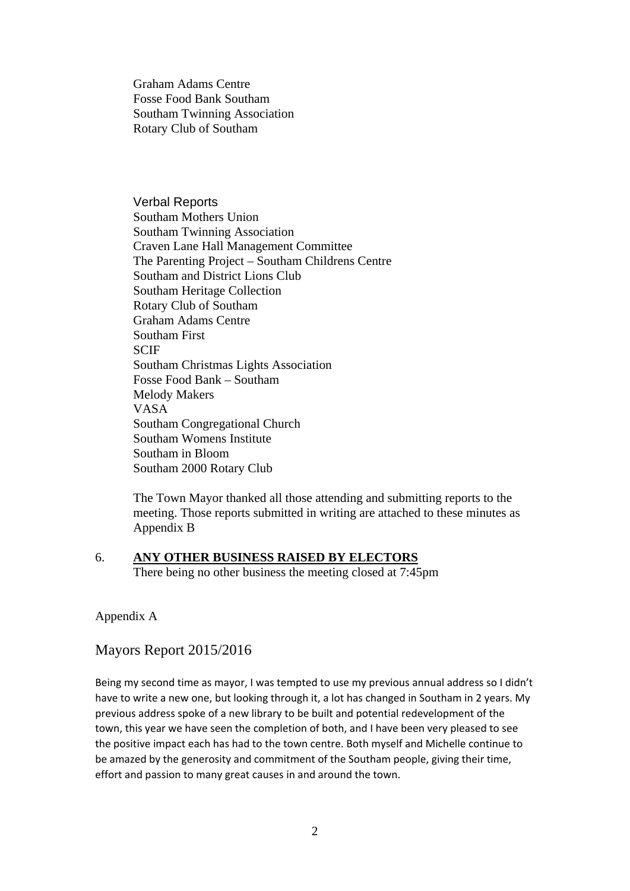Graham Adams Centre Fosse Food Bank Southam Southam Twinning Association Rotary Club of Southam

Verbal Reports Southam Mothers Union Southam Twinning Association Craven Lane Hall Management Committee The Parenting Project – Southam Childrens Centre Southam and District Lions Club Southam Heritage Collection Rotary Club of Southam Graham Adams Centre Southam First **SCIF** Southam Christmas Lights Association Fosse Food Bank – Southam Melody Makers VASA Southam Congregational Church Southam Womens Institute Southam in Bloom Southam 2000 Rotary Club

The Town Mayor thanked all those attending and submitting reports to the meeting. Those reports submitted in writing are attached to these minutes as Appendix B

#### 6. **ANY OTHER BUSINESS RAISED BY ELECTORS**

There being no other business the meeting closed at 7:45pm

Appendix A

Mayors Report 2015/2016

Being my second time as mayor, I was tempted to use my previous annual address so I didn't have to write a new one, but looking through it, a lot has changed in Southam in 2 years. My previous address spoke of a new library to be built and potential redevelopment of the town, this year we have seen the completion of both, and I have been very pleased to see the positive impact each has had to the town centre. Both myself and Michelle continue to be amazed by the generosity and commitment of the Southam people, giving their time, effort and passion to many great causes in and around the town.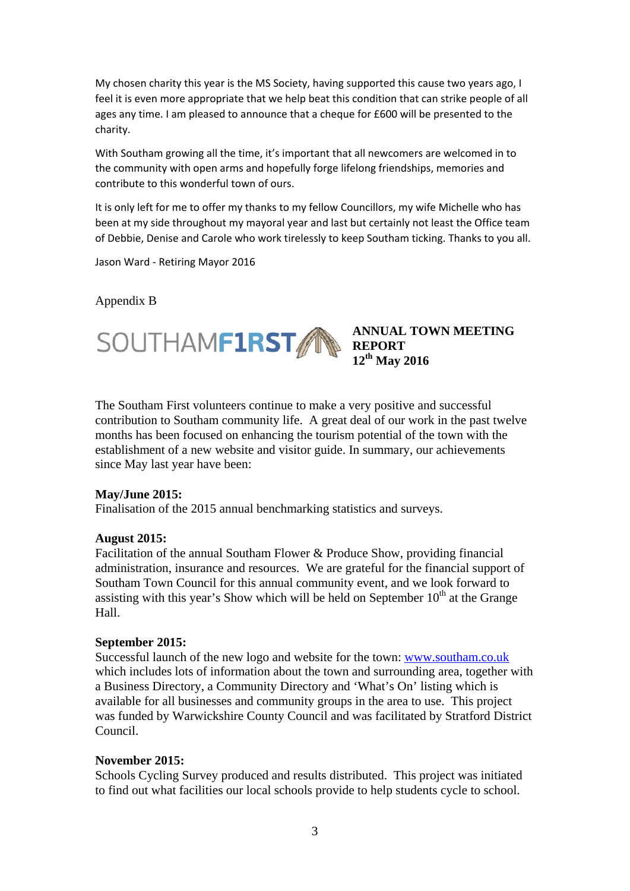My chosen charity this year is the MS Society, having supported this cause two years ago, I feel it is even more appropriate that we help beat this condition that can strike people of all ages any time. I am pleased to announce that a cheque for £600 will be presented to the charity.

With Southam growing all the time, it's important that all newcomers are welcomed in to the community with open arms and hopefully forge lifelong friendships, memories and contribute to this wonderful town of ours.

It is only left for me to offer my thanks to my fellow Councillors, my wife Michelle who has been at my side throughout my mayoral year and last but certainly not least the Office team of Debbie, Denise and Carole who work tirelessly to keep Southam ticking. Thanks to you all.

Jason Ward ‐ Retiring Mayor 2016

#### Appendix B



**ANNUAL TOWN MEETING 12th May 2016** 

The Southam First volunteers continue to make a very positive and successful contribution to Southam community life. A great deal of our work in the past twelve months has been focused on enhancing the tourism potential of the town with the establishment of a new website and visitor guide. In summary, our achievements since May last year have been:

#### **May/June 2015:**

Finalisation of the 2015 annual benchmarking statistics and surveys.

#### **August 2015:**

Facilitation of the annual Southam Flower & Produce Show, providing financial administration, insurance and resources. We are grateful for the financial support of Southam Town Council for this annual community event, and we look forward to assisting with this year's Show which will be held on September  $10<sup>th</sup>$  at the Grange Hall.

#### **September 2015:**

Successful launch of the new logo and website for the town: www.southam.co.uk which includes lots of information about the town and surrounding area, together with a Business Directory, a Community Directory and 'What's On' listing which is available for all businesses and community groups in the area to use. This project was funded by Warwickshire County Council and was facilitated by Stratford District Council.

#### **November 2015:**

Schools Cycling Survey produced and results distributed. This project was initiated to find out what facilities our local schools provide to help students cycle to school.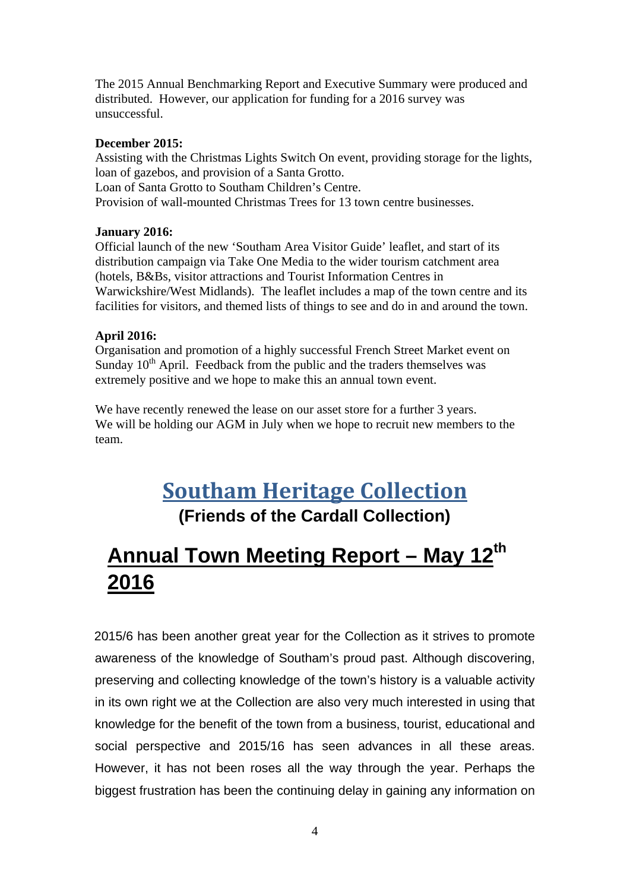The 2015 Annual Benchmarking Report and Executive Summary were produced and distributed. However, our application for funding for a 2016 survey was unsuccessful.

#### **December 2015:**

Assisting with the Christmas Lights Switch On event, providing storage for the lights, loan of gazebos, and provision of a Santa Grotto. Loan of Santa Grotto to Southam Children's Centre. Provision of wall-mounted Christmas Trees for 13 town centre businesses.

#### **January 2016:**

Official launch of the new 'Southam Area Visitor Guide' leaflet, and start of its distribution campaign via Take One Media to the wider tourism catchment area (hotels, B&Bs, visitor attractions and Tourist Information Centres in Warwickshire/West Midlands). The leaflet includes a map of the town centre and its facilities for visitors, and themed lists of things to see and do in and around the town.

#### **April 2016:**

Organisation and promotion of a highly successful French Street Market event on Sunday  $10^{th}$  April. Feedback from the public and the traders themselves was extremely positive and we hope to make this an annual town event.

We have recently renewed the lease on our asset store for a further 3 years. We will be holding our AGM in July when we hope to recruit new members to the team.

## **Southam Heritage Collection (Friends of the Cardall Collection)**

# **Annual Town Meeting Report – May 12th 2016**

2015/6 has been another great year for the Collection as it strives to promote awareness of the knowledge of Southam's proud past. Although discovering, preserving and collecting knowledge of the town's history is a valuable activity in its own right we at the Collection are also very much interested in using that knowledge for the benefit of the town from a business, tourist, educational and social perspective and 2015/16 has seen advances in all these areas. However, it has not been roses all the way through the year. Perhaps the biggest frustration has been the continuing delay in gaining any information on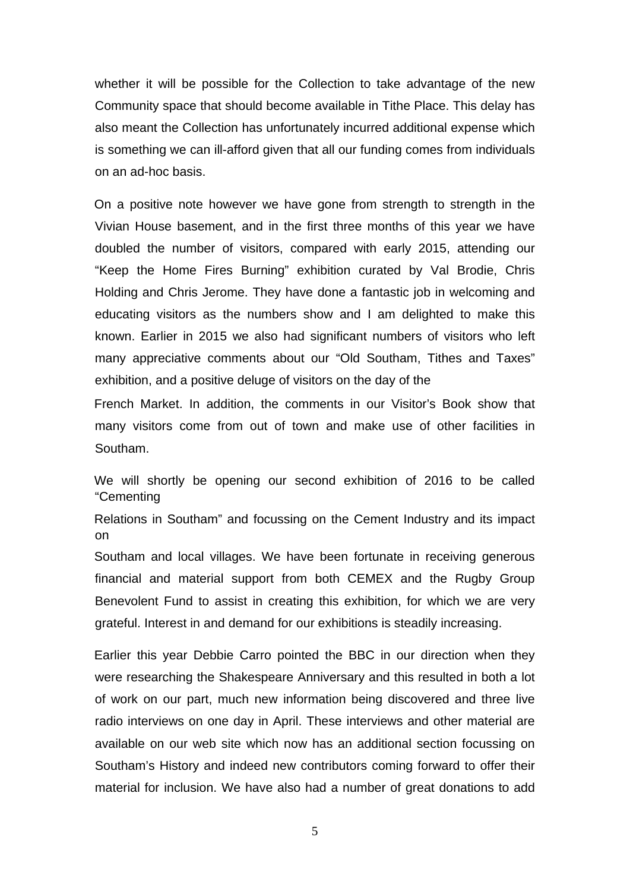whether it will be possible for the Collection to take advantage of the new Community space that should become available in Tithe Place. This delay has also meant the Collection has unfortunately incurred additional expense which is something we can ill-afford given that all our funding comes from individuals on an ad-hoc basis.

On a positive note however we have gone from strength to strength in the Vivian House basement, and in the first three months of this year we have doubled the number of visitors, compared with early 2015, attending our "Keep the Home Fires Burning" exhibition curated by Val Brodie, Chris Holding and Chris Jerome. They have done a fantastic job in welcoming and educating visitors as the numbers show and I am delighted to make this known. Earlier in 2015 we also had significant numbers of visitors who left many appreciative comments about our "Old Southam, Tithes and Taxes" exhibition, and a positive deluge of visitors on the day of the

French Market. In addition, the comments in our Visitor's Book show that many visitors come from out of town and make use of other facilities in Southam.

We will shortly be opening our second exhibition of 2016 to be called "Cementing

Relations in Southam" and focussing on the Cement Industry and its impact on

Southam and local villages. We have been fortunate in receiving generous financial and material support from both CEMEX and the Rugby Group Benevolent Fund to assist in creating this exhibition, for which we are very grateful. Interest in and demand for our exhibitions is steadily increasing.

Earlier this year Debbie Carro pointed the BBC in our direction when they were researching the Shakespeare Anniversary and this resulted in both a lot of work on our part, much new information being discovered and three live radio interviews on one day in April. These interviews and other material are available on our web site which now has an additional section focussing on Southam's History and indeed new contributors coming forward to offer their material for inclusion. We have also had a number of great donations to add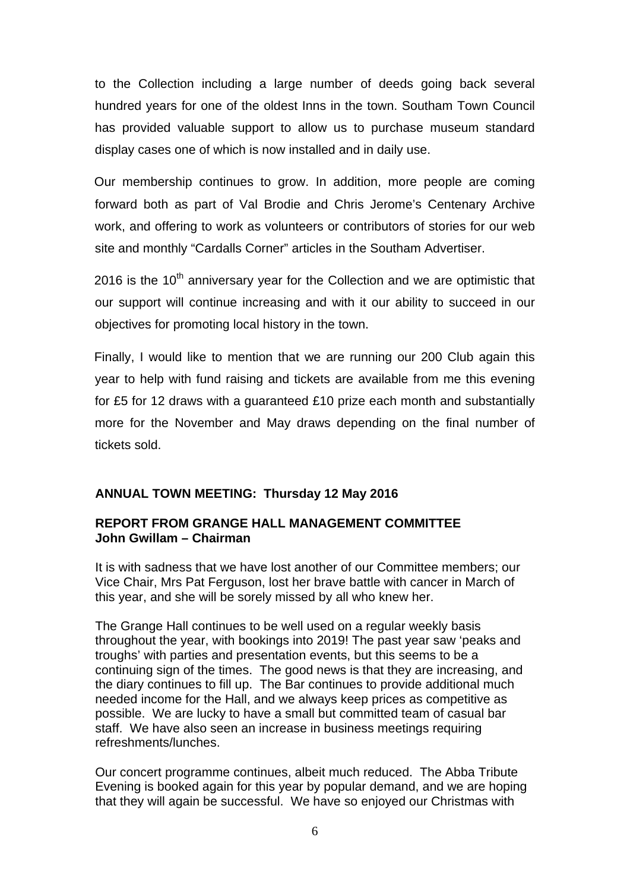to the Collection including a large number of deeds going back several hundred years for one of the oldest Inns in the town. Southam Town Council has provided valuable support to allow us to purchase museum standard display cases one of which is now installed and in daily use.

Our membership continues to grow. In addition, more people are coming forward both as part of Val Brodie and Chris Jerome's Centenary Archive work, and offering to work as volunteers or contributors of stories for our web site and monthly "Cardalls Corner" articles in the Southam Advertiser.

2016 is the  $10<sup>th</sup>$  anniversary year for the Collection and we are optimistic that our support will continue increasing and with it our ability to succeed in our objectives for promoting local history in the town.

Finally, I would like to mention that we are running our 200 Club again this year to help with fund raising and tickets are available from me this evening for £5 for 12 draws with a guaranteed £10 prize each month and substantially more for the November and May draws depending on the final number of tickets sold.

## **ANNUAL TOWN MEETING: Thursday 12 May 2016**

## **REPORT FROM GRANGE HALL MANAGEMENT COMMITTEE John Gwillam – Chairman**

It is with sadness that we have lost another of our Committee members; our Vice Chair, Mrs Pat Ferguson, lost her brave battle with cancer in March of this year, and she will be sorely missed by all who knew her.

The Grange Hall continues to be well used on a regular weekly basis throughout the year, with bookings into 2019! The past year saw 'peaks and troughs' with parties and presentation events, but this seems to be a continuing sign of the times. The good news is that they are increasing, and the diary continues to fill up. The Bar continues to provide additional much needed income for the Hall, and we always keep prices as competitive as possible. We are lucky to have a small but committed team of casual bar staff. We have also seen an increase in business meetings requiring refreshments/lunches.

Our concert programme continues, albeit much reduced. The Abba Tribute Evening is booked again for this year by popular demand, and we are hoping that they will again be successful. We have so enjoyed our Christmas with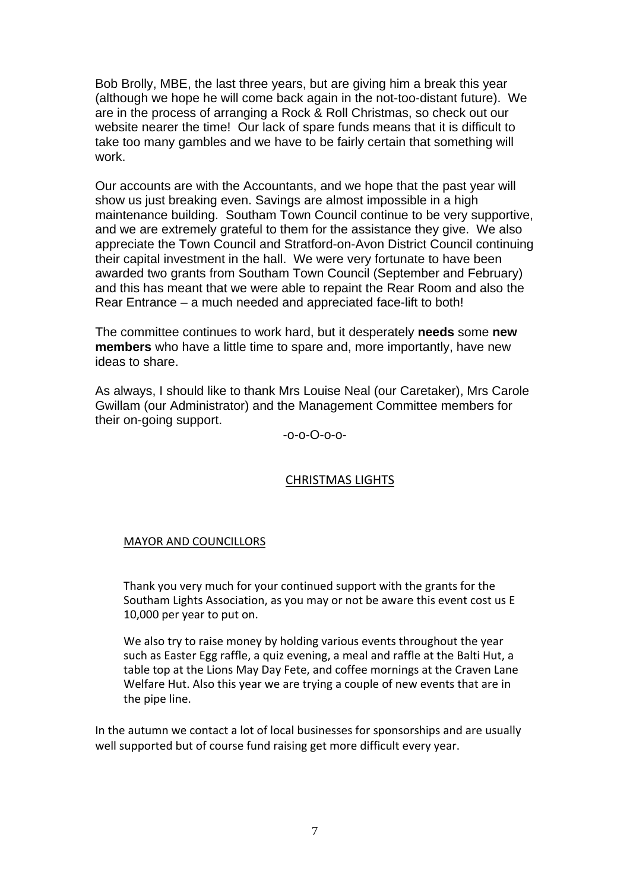Bob Brolly, MBE, the last three years, but are giving him a break this year (although we hope he will come back again in the not-too-distant future). We are in the process of arranging a Rock & Roll Christmas, so check out our website nearer the time! Our lack of spare funds means that it is difficult to take too many gambles and we have to be fairly certain that something will work.

Our accounts are with the Accountants, and we hope that the past year will show us just breaking even. Savings are almost impossible in a high maintenance building. Southam Town Council continue to be very supportive, and we are extremely grateful to them for the assistance they give. We also appreciate the Town Council and Stratford-on-Avon District Council continuing their capital investment in the hall. We were very fortunate to have been awarded two grants from Southam Town Council (September and February) and this has meant that we were able to repaint the Rear Room and also the Rear Entrance – a much needed and appreciated face-lift to both!

The committee continues to work hard, but it desperately **needs** some **new members** who have a little time to spare and, more importantly, have new ideas to share.

As always, I should like to thank Mrs Louise Neal (our Caretaker), Mrs Carole Gwillam (our Administrator) and the Management Committee members for their on-going support.

-o-o-O-o-o-

## CHRISTMAS LIGHTS

#### MAYOR AND COUNCILLORS

Thank you very much for your continued support with the grants for the Southam Lights Association, as you may or not be aware this event cost us E 10,000 per year to put on.

We also try to raise money by holding various events throughout the year such as Easter Egg raffle, a quiz evening, a meal and raffle at the Balti Hut, a table top at the Lions May Day Fete, and coffee mornings at the Craven Lane Welfare Hut. Also this year we are trying a couple of new events that are in the pipe line.

In the autumn we contact a lot of local businesses for sponsorships and are usually well supported but of course fund raising get more difficult every year.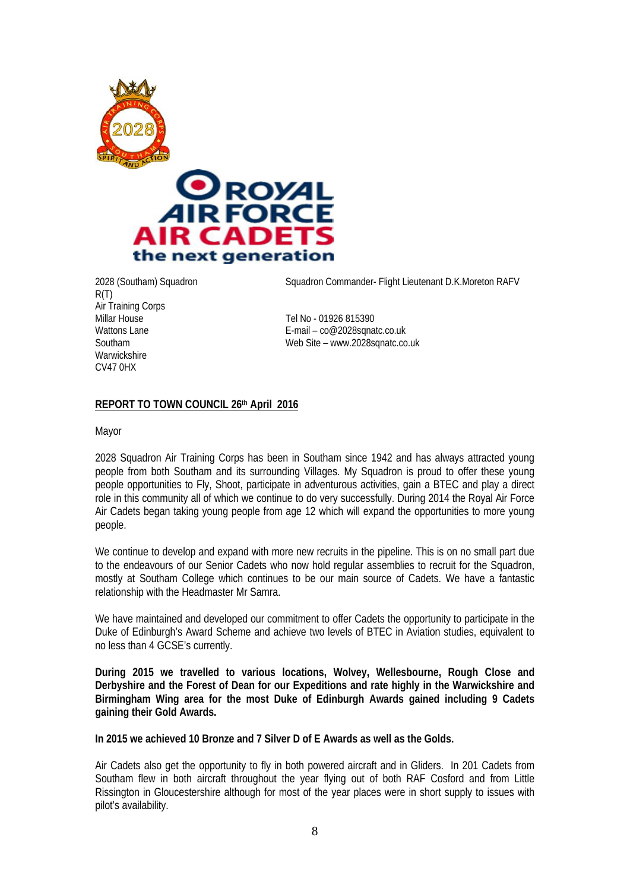



R(T) Air Training Corps<br>Millar House Millar House Tel No - 01926 815390<br>
Wattons Lane Tel No - 01926 815390<br>
F-mail – co@2028sqna **Warwickshire** CV47 0HX

2028 (Southam) Squadron Squadron Commander- Flight Lieutenant D.K.Moreton RAFV

E-mail –  $co@2028$ sqnatc.co.uk Southam Web Site – www.2028sqnatc.co.uk

#### **REPORT TO TOWN COUNCIL 26th April 2016**

Mayor

2028 Squadron Air Training Corps has been in Southam since 1942 and has always attracted young people from both Southam and its surrounding Villages. My Squadron is proud to offer these young people opportunities to Fly, Shoot, participate in adventurous activities, gain a BTEC and play a direct role in this community all of which we continue to do very successfully. During 2014 the Royal Air Force Air Cadets began taking young people from age 12 which will expand the opportunities to more young people.

We continue to develop and expand with more new recruits in the pipeline. This is on no small part due to the endeavours of our Senior Cadets who now hold regular assemblies to recruit for the Squadron, mostly at Southam College which continues to be our main source of Cadets. We have a fantastic relationship with the Headmaster Mr Samra.

We have maintained and developed our commitment to offer Cadets the opportunity to participate in the Duke of Edinburgh's Award Scheme and achieve two levels of BTEC in Aviation studies, equivalent to no less than 4 GCSE's currently.

**During 2015 we travelled to various locations, Wolvey, Wellesbourne, Rough Close and Derbyshire and the Forest of Dean for our Expeditions and rate highly in the Warwickshire and Birmingham Wing area for the most Duke of Edinburgh Awards gained including 9 Cadets gaining their Gold Awards.** 

**In 2015 we achieved 10 Bronze and 7 Silver D of E Awards as well as the Golds.** 

Air Cadets also get the opportunity to fly in both powered aircraft and in Gliders. In 201 Cadets from Southam flew in both aircraft throughout the year flying out of both RAF Cosford and from Little Rissington in Gloucestershire although for most of the year places were in short supply to issues with pilot's availability.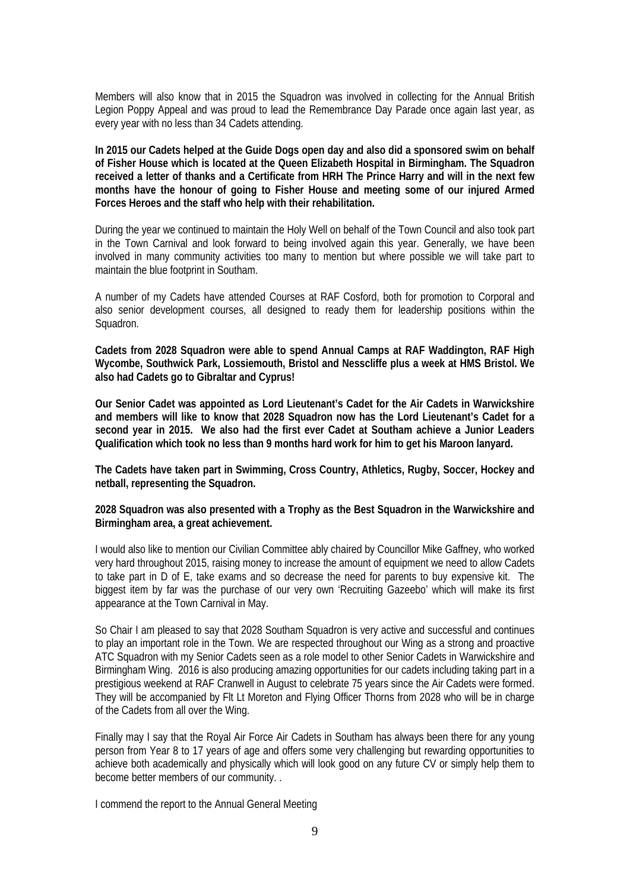Members will also know that in 2015 the Squadron was involved in collecting for the Annual British Legion Poppy Appeal and was proud to lead the Remembrance Day Parade once again last year, as every year with no less than 34 Cadets attending.

**In 2015 our Cadets helped at the Guide Dogs open day and also did a sponsored swim on behalf of Fisher House which is located at the Queen Elizabeth Hospital in Birmingham. The Squadron received a letter of thanks and a Certificate from HRH The Prince Harry and will in the next few months have the honour of going to Fisher House and meeting some of our injured Armed Forces Heroes and the staff who help with their rehabilitation.** 

During the year we continued to maintain the Holy Well on behalf of the Town Council and also took part in the Town Carnival and look forward to being involved again this year. Generally, we have been involved in many community activities too many to mention but where possible we will take part to maintain the blue footprint in Southam.

A number of my Cadets have attended Courses at RAF Cosford, both for promotion to Corporal and also senior development courses, all designed to ready them for leadership positions within the Squadron.

**Cadets from 2028 Squadron were able to spend Annual Camps at RAF Waddington, RAF High Wycombe, Southwick Park, Lossiemouth, Bristol and Nesscliffe plus a week at HMS Bristol. We also had Cadets go to Gibraltar and Cyprus!** 

**Our Senior Cadet was appointed as Lord Lieutenant's Cadet for the Air Cadets in Warwickshire and members will like to know that 2028 Squadron now has the Lord Lieutenant's Cadet for a second year in 2015. We also had the first ever Cadet at Southam achieve a Junior Leaders Qualification which took no less than 9 months hard work for him to get his Maroon lanyard.** 

**The Cadets have taken part in Swimming, Cross Country, Athletics, Rugby, Soccer, Hockey and netball, representing the Squadron.** 

**2028 Squadron was also presented with a Trophy as the Best Squadron in the Warwickshire and Birmingham area, a great achievement.** 

I would also like to mention our Civilian Committee ably chaired by Councillor Mike Gaffney, who worked very hard throughout 2015, raising money to increase the amount of equipment we need to allow Cadets to take part in D of E, take exams and so decrease the need for parents to buy expensive kit. The biggest item by far was the purchase of our very own 'Recruiting Gazeebo' which will make its first appearance at the Town Carnival in May.

So Chair I am pleased to say that 2028 Southam Squadron is very active and successful and continues to play an important role in the Town. We are respected throughout our Wing as a strong and proactive ATC Squadron with my Senior Cadets seen as a role model to other Senior Cadets in Warwickshire and Birmingham Wing. 2016 is also producing amazing opportunities for our cadets including taking part in a prestigious weekend at RAF Cranwell in August to celebrate 75 years since the Air Cadets were formed. They will be accompanied by Flt Lt Moreton and Flying Officer Thorns from 2028 who will be in charge of the Cadets from all over the Wing.

Finally may I say that the Royal Air Force Air Cadets in Southam has always been there for any young person from Year 8 to 17 years of age and offers some very challenging but rewarding opportunities to achieve both academically and physically which will look good on any future CV or simply help them to become better members of our community. .

I commend the report to the Annual General Meeting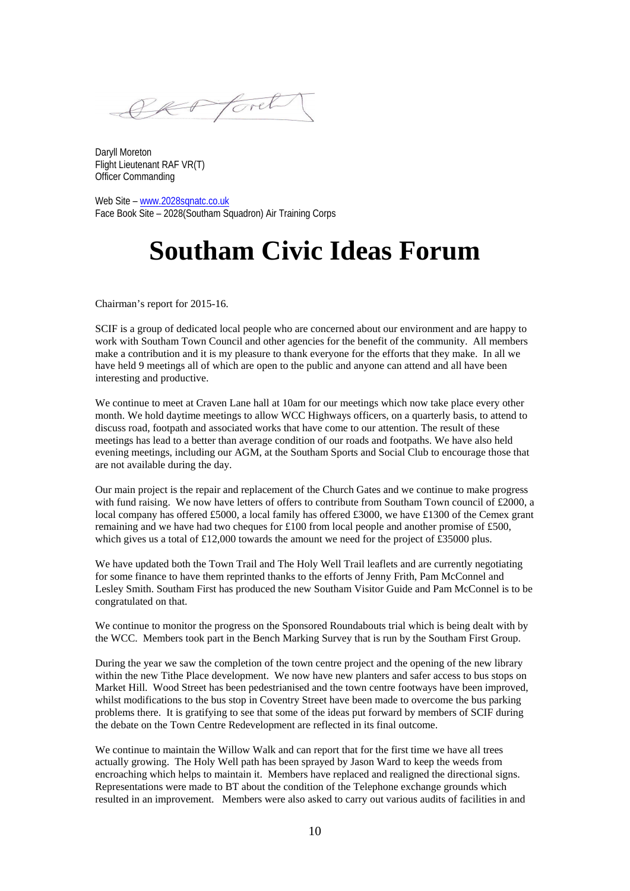SK Ford

Daryll Moreton Flight Lieutenant RAF VR(T) Officer Commanding

Web Site - www.2028sqnatc.co.uk Face Book Site – 2028(Southam Squadron) Air Training Corps

# **Southam Civic Ideas Forum**

Chairman's report for 2015-16.

SCIF is a group of dedicated local people who are concerned about our environment and are happy to work with Southam Town Council and other agencies for the benefit of the community. All members make a contribution and it is my pleasure to thank everyone for the efforts that they make. In all we have held 9 meetings all of which are open to the public and anyone can attend and all have been interesting and productive.

We continue to meet at Craven Lane hall at 10am for our meetings which now take place every other month. We hold daytime meetings to allow WCC Highways officers, on a quarterly basis, to attend to discuss road, footpath and associated works that have come to our attention. The result of these meetings has lead to a better than average condition of our roads and footpaths. We have also held evening meetings, including our AGM, at the Southam Sports and Social Club to encourage those that are not available during the day.

Our main project is the repair and replacement of the Church Gates and we continue to make progress with fund raising. We now have letters of offers to contribute from Southam Town council of £2000, a local company has offered £5000, a local family has offered £3000, we have £1300 of the Cemex grant remaining and we have had two cheques for £100 from local people and another promise of £500, which gives us a total of £12,000 towards the amount we need for the project of £35000 plus.

We have updated both the Town Trail and The Holy Well Trail leaflets and are currently negotiating for some finance to have them reprinted thanks to the efforts of Jenny Frith, Pam McConnel and Lesley Smith. Southam First has produced the new Southam Visitor Guide and Pam McConnel is to be congratulated on that.

We continue to monitor the progress on the Sponsored Roundabouts trial which is being dealt with by the WCC. Members took part in the Bench Marking Survey that is run by the Southam First Group.

During the year we saw the completion of the town centre project and the opening of the new library within the new Tithe Place development. We now have new planters and safer access to bus stops on Market Hill. Wood Street has been pedestrianised and the town centre footways have been improved, whilst modifications to the bus stop in Coventry Street have been made to overcome the bus parking problems there. It is gratifying to see that some of the ideas put forward by members of SCIF during the debate on the Town Centre Redevelopment are reflected in its final outcome.

We continue to maintain the Willow Walk and can report that for the first time we have all trees actually growing. The Holy Well path has been sprayed by Jason Ward to keep the weeds from encroaching which helps to maintain it. Members have replaced and realigned the directional signs. Representations were made to BT about the condition of the Telephone exchange grounds which resulted in an improvement. Members were also asked to carry out various audits of facilities in and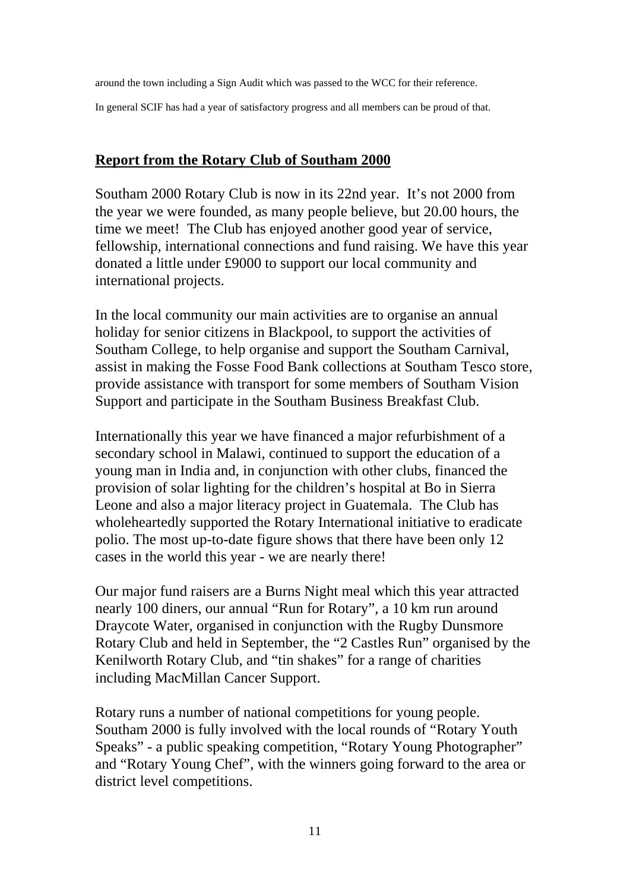around the town including a Sign Audit which was passed to the WCC for their reference.

In general SCIF has had a year of satisfactory progress and all members can be proud of that.

## **Report from the Rotary Club of Southam 2000**

Southam 2000 Rotary Club is now in its 22nd year. It's not 2000 from the year we were founded, as many people believe, but 20.00 hours, the time we meet! The Club has enjoyed another good year of service, fellowship, international connections and fund raising. We have this year donated a little under £9000 to support our local community and international projects.

In the local community our main activities are to organise an annual holiday for senior citizens in Blackpool, to support the activities of Southam College, to help organise and support the Southam Carnival, assist in making the Fosse Food Bank collections at Southam Tesco store, provide assistance with transport for some members of Southam Vision Support and participate in the Southam Business Breakfast Club.

Internationally this year we have financed a major refurbishment of a secondary school in Malawi, continued to support the education of a young man in India and, in conjunction with other clubs, financed the provision of solar lighting for the children's hospital at Bo in Sierra Leone and also a major literacy project in Guatemala. The Club has wholeheartedly supported the Rotary International initiative to eradicate polio. The most up-to-date figure shows that there have been only 12 cases in the world this year - we are nearly there!

Our major fund raisers are a Burns Night meal which this year attracted nearly 100 diners, our annual "Run for Rotary", a 10 km run around Draycote Water, organised in conjunction with the Rugby Dunsmore Rotary Club and held in September, the "2 Castles Run" organised by the Kenilworth Rotary Club, and "tin shakes" for a range of charities including MacMillan Cancer Support.

Rotary runs a number of national competitions for young people. Southam 2000 is fully involved with the local rounds of "Rotary Youth Speaks" - a public speaking competition, "Rotary Young Photographer" and "Rotary Young Chef", with the winners going forward to the area or district level competitions.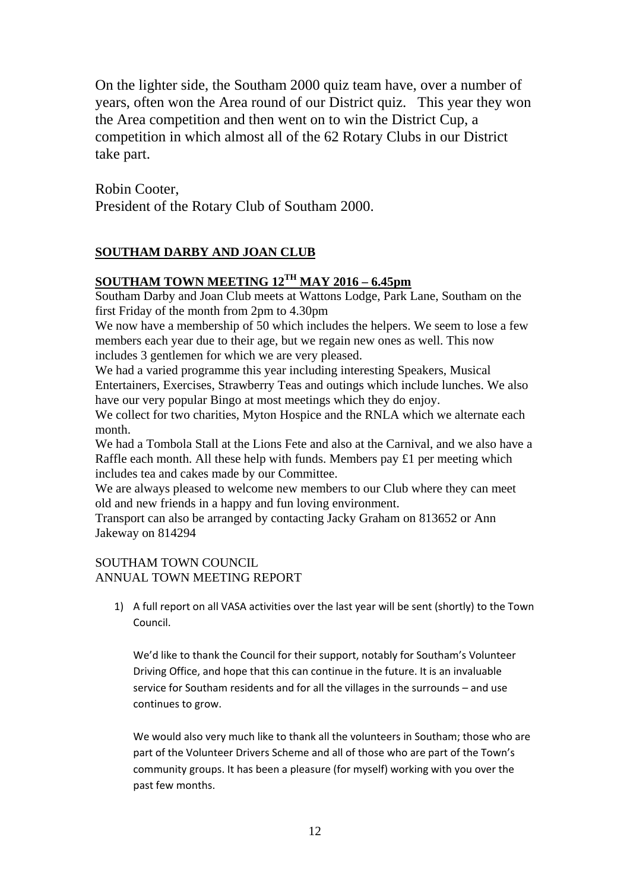On the lighter side, the Southam 2000 quiz team have, over a number of years, often won the Area round of our District quiz. This year they won the Area competition and then went on to win the District Cup, a competition in which almost all of the 62 Rotary Clubs in our District take part.

Robin Cooter, President of the Rotary Club of Southam 2000.

## **SOUTHAM DARBY AND JOAN CLUB**

## **SOUTHAM TOWN MEETING 12TH MAY 2016 – 6.45pm**

Southam Darby and Joan Club meets at Wattons Lodge, Park Lane, Southam on the first Friday of the month from 2pm to 4.30pm

We now have a membership of 50 which includes the helpers. We seem to lose a few members each year due to their age, but we regain new ones as well. This now includes 3 gentlemen for which we are very pleased.

We had a varied programme this year including interesting Speakers, Musical Entertainers, Exercises, Strawberry Teas and outings which include lunches. We also have our very popular Bingo at most meetings which they do enjoy.

We collect for two charities, Myton Hospice and the RNLA which we alternate each month.

We had a Tombola Stall at the Lions Fete and also at the Carnival, and we also have a Raffle each month. All these help with funds. Members pay £1 per meeting which includes tea and cakes made by our Committee.

We are always pleased to welcome new members to our Club where they can meet old and new friends in a happy and fun loving environment.

Transport can also be arranged by contacting Jacky Graham on 813652 or Ann Jakeway on 814294

#### SOUTHAM TOWN COUNCIL

#### ANNUAL TOWN MEETING REPORT

1) A full report on all VASA activities over the last year will be sent (shortly) to the Town Council.

We'd like to thank the Council for their support, notably for Southam's Volunteer Driving Office, and hope that this can continue in the future. It is an invaluable service for Southam residents and for all the villages in the surrounds – and use continues to grow.

We would also very much like to thank all the volunteers in Southam; those who are part of the Volunteer Drivers Scheme and all of those who are part of the Town's community groups. It has been a pleasure (for myself) working with you over the past few months.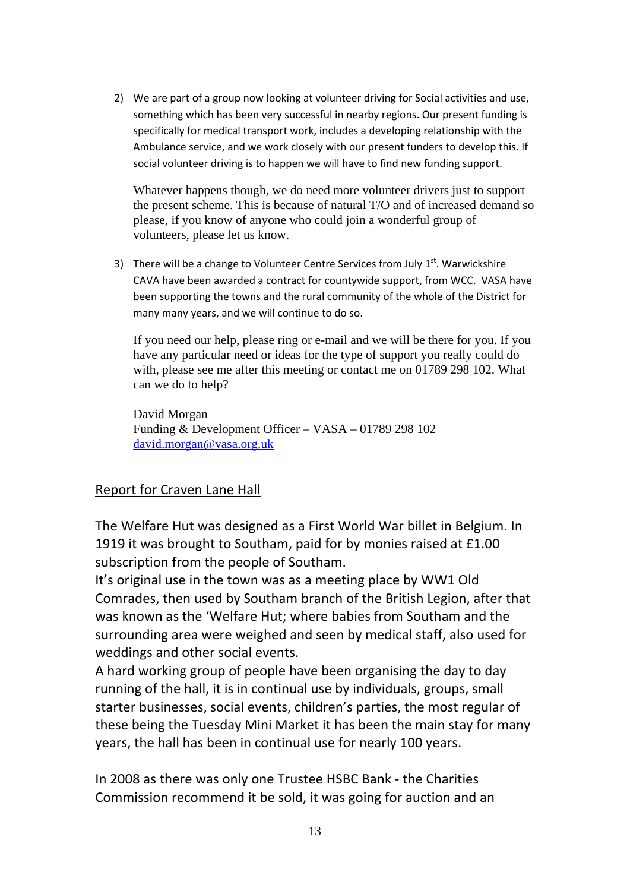2) We are part of a group now looking at volunteer driving for Social activities and use, something which has been very successful in nearby regions. Our present funding is specifically for medical transport work, includes a developing relationship with the Ambulance service, and we work closely with our present funders to develop this. If social volunteer driving is to happen we will have to find new funding support.

Whatever happens though, we do need more volunteer drivers just to support the present scheme. This is because of natural T/O and of increased demand so please, if you know of anyone who could join a wonderful group of volunteers, please let us know.

3) There will be a change to Volunteer Centre Services from July  $1<sup>st</sup>$ . Warwickshire CAVA have been awarded a contract for countywide support, from WCC. VASA have been supporting the towns and the rural community of the whole of the District for many many years, and we will continue to do so.

If you need our help, please ring or e-mail and we will be there for you. If you have any particular need or ideas for the type of support you really could do with, please see me after this meeting or contact me on 01789 298 102. What can we do to help?

David Morgan Funding & Development Officer – VASA – 01789 298 102 david.morgan@vasa.org.uk

## Report for Craven Lane Hall

The Welfare Hut was designed as a First World War billet in Belgium. In 1919 it was brought to Southam, paid for by monies raised at £1.00 subscription from the people of Southam.

It's original use in the town was as a meeting place by WW1 Old Comrades, then used by Southam branch of the British Legion, after that was known as the 'Welfare Hut; where babies from Southam and the surrounding area were weighed and seen by medical staff, also used for weddings and other social events.

A hard working group of people have been organising the day to day running of the hall, it is in continual use by individuals, groups, small starter businesses, social events, children's parties, the most regular of these being the Tuesday Mini Market it has been the main stay for many years, the hall has been in continual use for nearly 100 years.

In 2008 as there was only one Trustee HSBC Bank ‐ the Charities Commission recommend it be sold, it was going for auction and an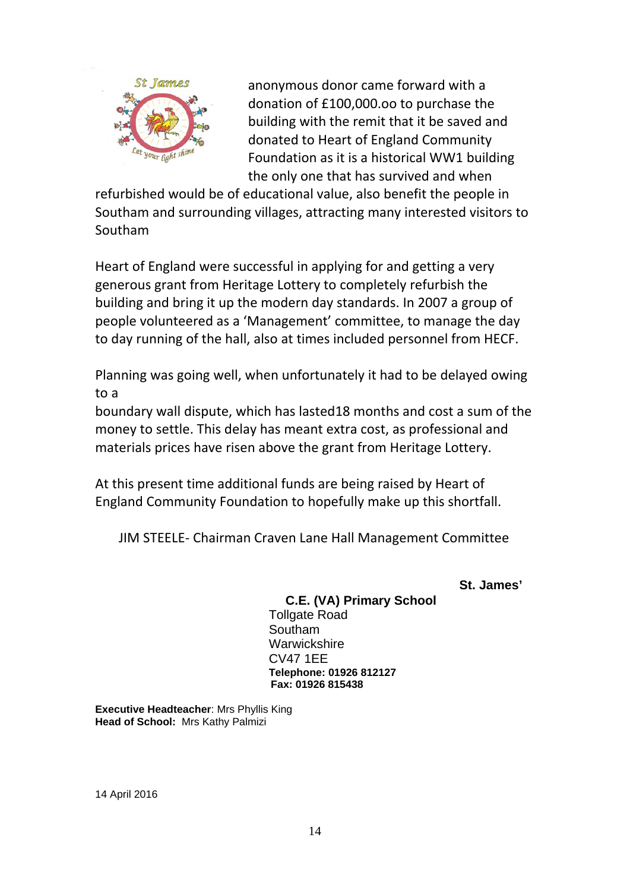

anonymous donor came forward with a donation of £100,000.oo to purchase the building with the remit that it be saved and donated to Heart of England Community Foundation as it is a historical WW1 building the only one that has survived and when

refurbished would be of educational value, also benefit the people in Southam and surrounding villages, attracting many interested visitors to Southam

Heart of England were successful in applying for and getting a very generous grant from Heritage Lottery to completely refurbish the building and bring it up the modern day standards. In 2007 a group of people volunteered as a 'Management' committee, to manage the day to day running of the hall, also at times included personnel from HECF.

Planning was going well, when unfortunately it had to be delayed owing to a

boundary wall dispute, which has lasted18 months and cost a sum of the money to settle. This delay has meant extra cost, as professional and materials prices have risen above the grant from Heritage Lottery.

At this present time additional funds are being raised by Heart of England Community Foundation to hopefully make up this shortfall.

JIM STEELE‐ Chairman Craven Lane Hall Management Committee

 **St. James'** 

## **C.E. (VA) Primary School**

Tollgate Road Southam **Warwickshire**  CV47 1EE **Telephone: 01926 812127 Fax: 01926 815438** 

**Executive Headteacher**: Mrs Phyllis King **Head of School:** Mrs Kathy Palmizi

14 April 2016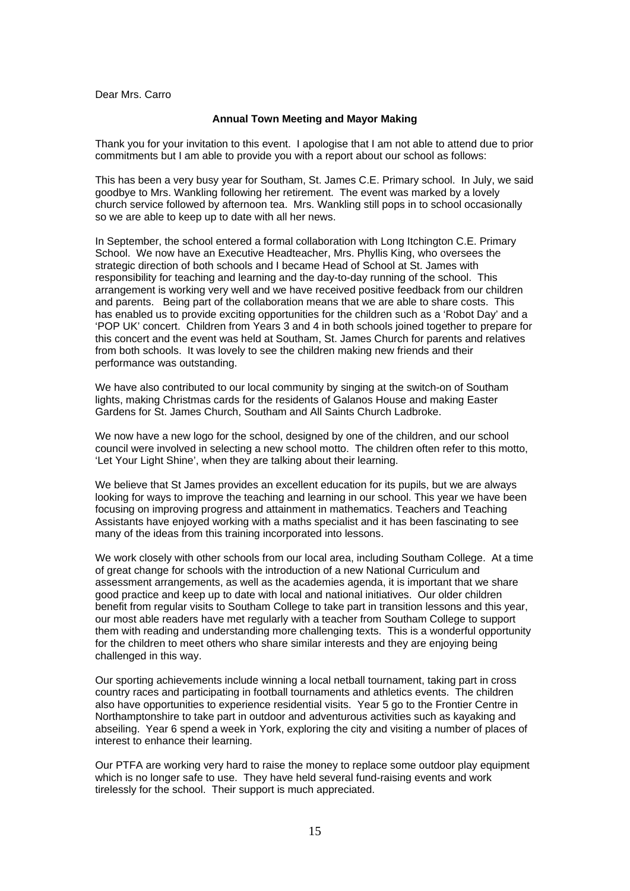Dear Mrs. Carro

#### **Annual Town Meeting and Mayor Making**

Thank you for your invitation to this event. I apologise that I am not able to attend due to prior commitments but I am able to provide you with a report about our school as follows:

This has been a very busy year for Southam, St. James C.E. Primary school. In July, we said goodbye to Mrs. Wankling following her retirement. The event was marked by a lovely church service followed by afternoon tea. Mrs. Wankling still pops in to school occasionally so we are able to keep up to date with all her news.

In September, the school entered a formal collaboration with Long Itchington C.E. Primary School. We now have an Executive Headteacher, Mrs. Phyllis King, who oversees the strategic direction of both schools and I became Head of School at St. James with responsibility for teaching and learning and the day-to-day running of the school. This arrangement is working very well and we have received positive feedback from our children and parents. Being part of the collaboration means that we are able to share costs. This has enabled us to provide exciting opportunities for the children such as a 'Robot Day' and a 'POP UK' concert. Children from Years 3 and 4 in both schools joined together to prepare for this concert and the event was held at Southam, St. James Church for parents and relatives from both schools. It was lovely to see the children making new friends and their performance was outstanding.

We have also contributed to our local community by singing at the switch-on of Southam lights, making Christmas cards for the residents of Galanos House and making Easter Gardens for St. James Church, Southam and All Saints Church Ladbroke.

We now have a new logo for the school, designed by one of the children, and our school council were involved in selecting a new school motto. The children often refer to this motto, 'Let Your Light Shine', when they are talking about their learning.

We believe that St James provides an excellent education for its pupils, but we are always looking for ways to improve the teaching and learning in our school. This year we have been focusing on improving progress and attainment in mathematics. Teachers and Teaching Assistants have enjoyed working with a maths specialist and it has been fascinating to see many of the ideas from this training incorporated into lessons.

We work closely with other schools from our local area, including Southam College. At a time of great change for schools with the introduction of a new National Curriculum and assessment arrangements, as well as the academies agenda, it is important that we share good practice and keep up to date with local and national initiatives. Our older children benefit from regular visits to Southam College to take part in transition lessons and this year, our most able readers have met regularly with a teacher from Southam College to support them with reading and understanding more challenging texts. This is a wonderful opportunity for the children to meet others who share similar interests and they are enjoying being challenged in this way.

Our sporting achievements include winning a local netball tournament, taking part in cross country races and participating in football tournaments and athletics events. The children also have opportunities to experience residential visits. Year 5 go to the Frontier Centre in Northamptonshire to take part in outdoor and adventurous activities such as kayaking and abseiling. Year 6 spend a week in York, exploring the city and visiting a number of places of interest to enhance their learning.

Our PTFA are working very hard to raise the money to replace some outdoor play equipment which is no longer safe to use. They have held several fund-raising events and work tirelessly for the school. Their support is much appreciated.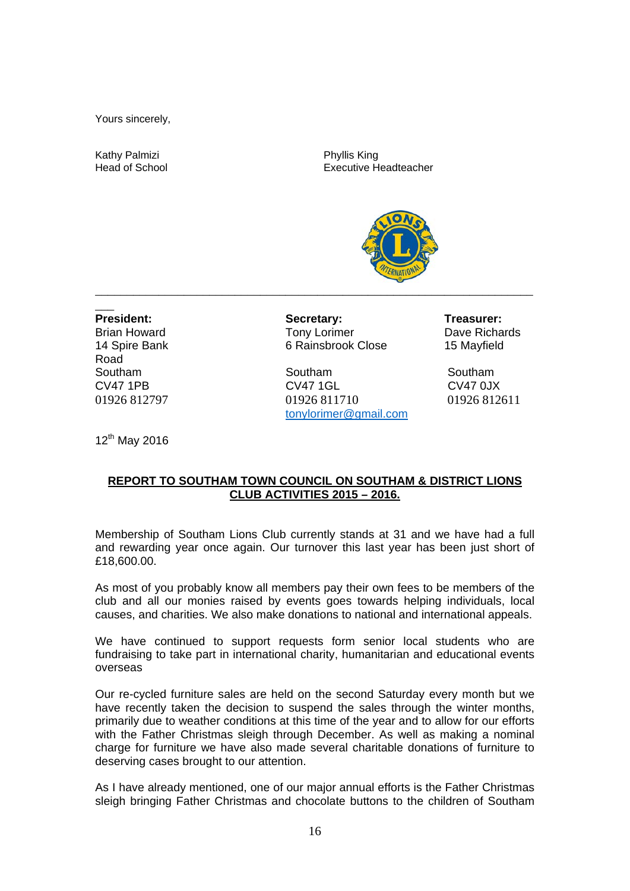Yours sincerely,

Kathy Palmizi **Executive State Control**<br>
Head of School **Phyllis King Phyllis King** 

Executive Headteacher



 $\overline{\phantom{a}}$ Road

President: Secretary: Treasurer: Treasurer: Brian Howard **Tony Lorimer** Dave Richards **Dave Richards** 14 Spire Bank 6 Rainsbrook Close 15 Mayfield

Southam Southam Southam Southam Southam CV47 1PB CV47 1GL CV47 0JX 01926 812797 01926 811710 01926 812611 tonylorimer@gmail.com

12<sup>th</sup> May 2016

#### **REPORT TO SOUTHAM TOWN COUNCIL ON SOUTHAM & DISTRICT LIONS CLUB ACTIVITIES 2015 – 2016.**

Membership of Southam Lions Club currently stands at 31 and we have had a full and rewarding year once again. Our turnover this last year has been just short of £18,600.00.

As most of you probably know all members pay their own fees to be members of the club and all our monies raised by events goes towards helping individuals, local causes, and charities. We also make donations to national and international appeals.

We have continued to support requests form senior local students who are fundraising to take part in international charity, humanitarian and educational events overseas

Our re-cycled furniture sales are held on the second Saturday every month but we have recently taken the decision to suspend the sales through the winter months, primarily due to weather conditions at this time of the year and to allow for our efforts with the Father Christmas sleigh through December. As well as making a nominal charge for furniture we have also made several charitable donations of furniture to deserving cases brought to our attention.

As I have already mentioned, one of our major annual efforts is the Father Christmas sleigh bringing Father Christmas and chocolate buttons to the children of Southam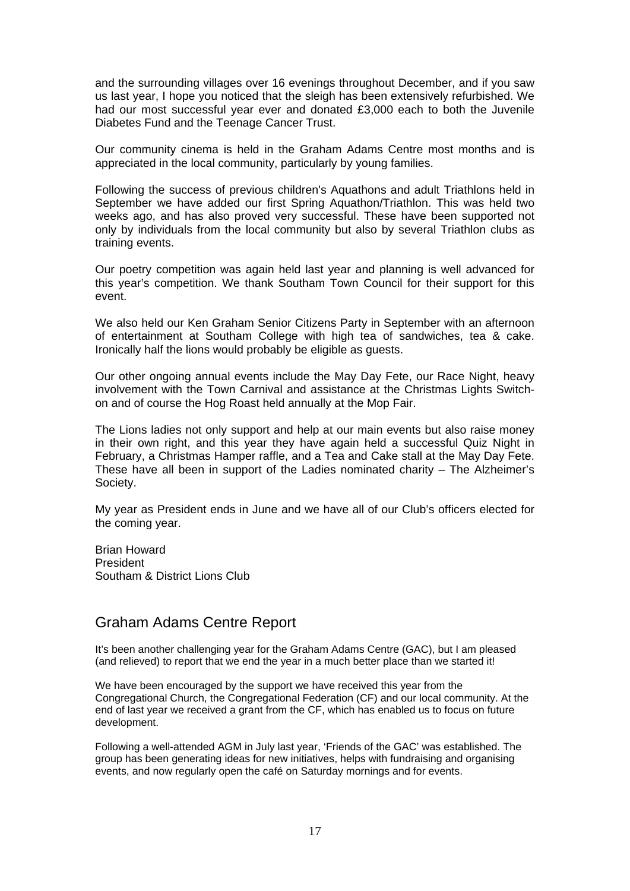and the surrounding villages over 16 evenings throughout December, and if you saw us last year, I hope you noticed that the sleigh has been extensively refurbished. We had our most successful year ever and donated £3,000 each to both the Juvenile Diabetes Fund and the Teenage Cancer Trust.

Our community cinema is held in the Graham Adams Centre most months and is appreciated in the local community, particularly by young families.

Following the success of previous children's Aquathons and adult Triathlons held in September we have added our first Spring Aquathon/Triathlon. This was held two weeks ago, and has also proved very successful. These have been supported not only by individuals from the local community but also by several Triathlon clubs as training events.

Our poetry competition was again held last year and planning is well advanced for this year's competition. We thank Southam Town Council for their support for this event.

We also held our Ken Graham Senior Citizens Party in September with an afternoon of entertainment at Southam College with high tea of sandwiches, tea & cake. Ironically half the lions would probably be eligible as guests.

Our other ongoing annual events include the May Day Fete, our Race Night, heavy involvement with the Town Carnival and assistance at the Christmas Lights Switchon and of course the Hog Roast held annually at the Mop Fair.

The Lions ladies not only support and help at our main events but also raise money in their own right, and this year they have again held a successful Quiz Night in February, a Christmas Hamper raffle, and a Tea and Cake stall at the May Day Fete. These have all been in support of the Ladies nominated charity – The Alzheimer's Society.

My year as President ends in June and we have all of our Club's officers elected for the coming year.

Brian Howard President Southam & District Lions Club

## Graham Adams Centre Report

It's been another challenging year for the Graham Adams Centre (GAC), but I am pleased (and relieved) to report that we end the year in a much better place than we started it!

We have been encouraged by the support we have received this year from the Congregational Church, the Congregational Federation (CF) and our local community. At the end of last year we received a grant from the CF, which has enabled us to focus on future development.

Following a well-attended AGM in July last year, 'Friends of the GAC' was established. The group has been generating ideas for new initiatives, helps with fundraising and organising events, and now regularly open the café on Saturday mornings and for events.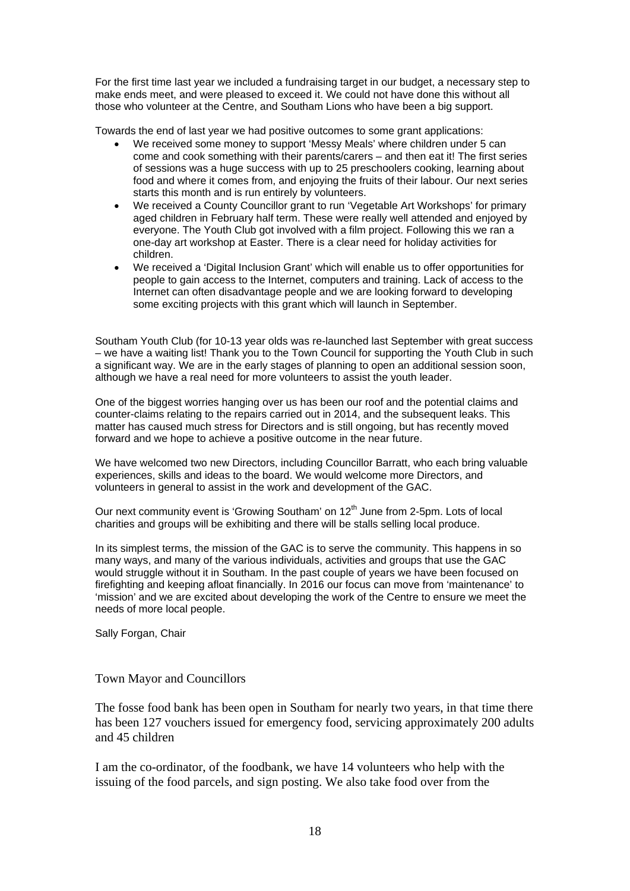For the first time last year we included a fundraising target in our budget, a necessary step to make ends meet, and were pleased to exceed it. We could not have done this without all those who volunteer at the Centre, and Southam Lions who have been a big support.

Towards the end of last year we had positive outcomes to some grant applications:

- We received some money to support 'Messy Meals' where children under 5 can come and cook something with their parents/carers – and then eat it! The first series of sessions was a huge success with up to 25 preschoolers cooking, learning about food and where it comes from, and enjoying the fruits of their labour. Our next series starts this month and is run entirely by volunteers.
- We received a County Councillor grant to run 'Vegetable Art Workshops' for primary aged children in February half term. These were really well attended and enjoyed by everyone. The Youth Club got involved with a film project. Following this we ran a one-day art workshop at Easter. There is a clear need for holiday activities for children.
- We received a 'Digital Inclusion Grant' which will enable us to offer opportunities for people to gain access to the Internet, computers and training. Lack of access to the Internet can often disadvantage people and we are looking forward to developing some exciting projects with this grant which will launch in September.

Southam Youth Club (for 10-13 year olds was re-launched last September with great success – we have a waiting list! Thank you to the Town Council for supporting the Youth Club in such a significant way. We are in the early stages of planning to open an additional session soon, although we have a real need for more volunteers to assist the youth leader.

One of the biggest worries hanging over us has been our roof and the potential claims and counter-claims relating to the repairs carried out in 2014, and the subsequent leaks. This matter has caused much stress for Directors and is still ongoing, but has recently moved forward and we hope to achieve a positive outcome in the near future.

We have welcomed two new Directors, including Councillor Barratt, who each bring valuable experiences, skills and ideas to the board. We would welcome more Directors, and volunteers in general to assist in the work and development of the GAC.

Our next community event is 'Growing Southam' on  $12<sup>th</sup>$  June from 2-5pm. Lots of local charities and groups will be exhibiting and there will be stalls selling local produce.

In its simplest terms, the mission of the GAC is to serve the community. This happens in so many ways, and many of the various individuals, activities and groups that use the GAC would struggle without it in Southam. In the past couple of years we have been focused on firefighting and keeping afloat financially. In 2016 our focus can move from 'maintenance' to 'mission' and we are excited about developing the work of the Centre to ensure we meet the needs of more local people.

Sally Forgan, Chair

#### Town Mayor and Councillors

The fosse food bank has been open in Southam for nearly two years, in that time there has been 127 vouchers issued for emergency food, servicing approximately 200 adults and 45 children

I am the co-ordinator, of the foodbank, we have 14 volunteers who help with the issuing of the food parcels, and sign posting. We also take food over from the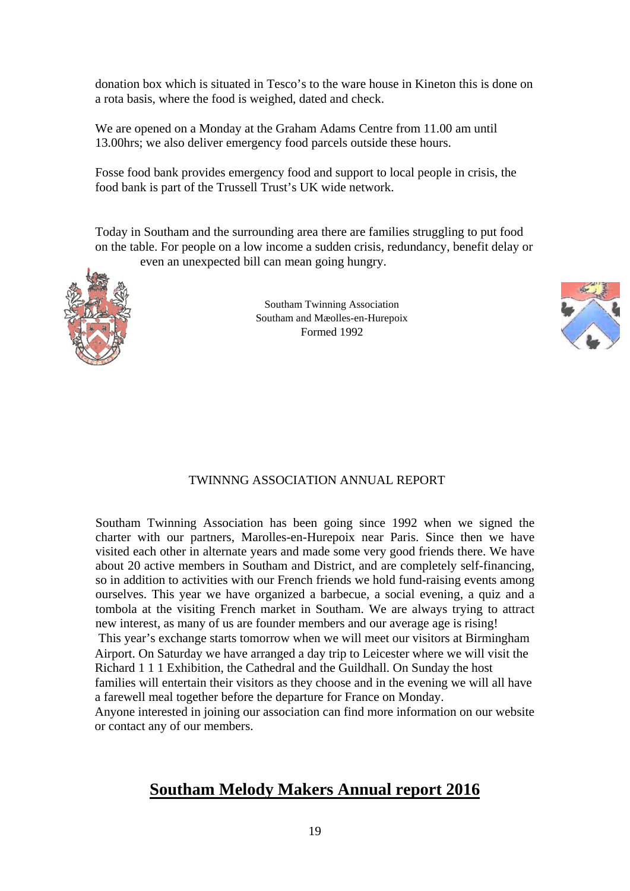donation box which is situated in Tesco's to the ware house in Kineton this is done on a rota basis, where the food is weighed, dated and check.

We are opened on a Monday at the Graham Adams Centre from 11.00 am until 13.00hrs; we also deliver emergency food parcels outside these hours.

Fosse food bank provides emergency food and support to local people in crisis, the food bank is part of the Trussell Trust's UK wide network.

Today in Southam and the surrounding area there are families struggling to put food on the table. For people on a low income a sudden crisis, redundancy, benefit delay or even an unexpected bill can mean going hungry.



Southam Twinning Association Southam and Mæolles-en-Hurepoix Formed 1992



#### TWINNNG ASSOCIATION ANNUAL REPORT

Southam Twinning Association has been going since 1992 when we signed the charter with our partners, Marolles-en-Hurepoix near Paris. Since then we have visited each other in alternate years and made some very good friends there. We have about 20 active members in Southam and District, and are completely self-financing, so in addition to activities with our French friends we hold fund-raising events among ourselves. This year we have organized a barbecue, a social evening, a quiz and a tombola at the visiting French market in Southam. We are always trying to attract new interest, as many of us are founder members and our average age is rising!

This year's exchange starts tomorrow when we will meet our visitors at Birmingham Airport. On Saturday we have arranged a day trip to Leicester where we will visit the Richard 1 1 1 Exhibition, the Cathedral and the Guildhall. On Sunday the host

families will entertain their visitors as they choose and in the evening we will all have a farewell meal together before the departure for France on Monday.

Anyone interested in joining our association can find more information on our website or contact any of our members.

## **Southam Melody Makers Annual report 2016**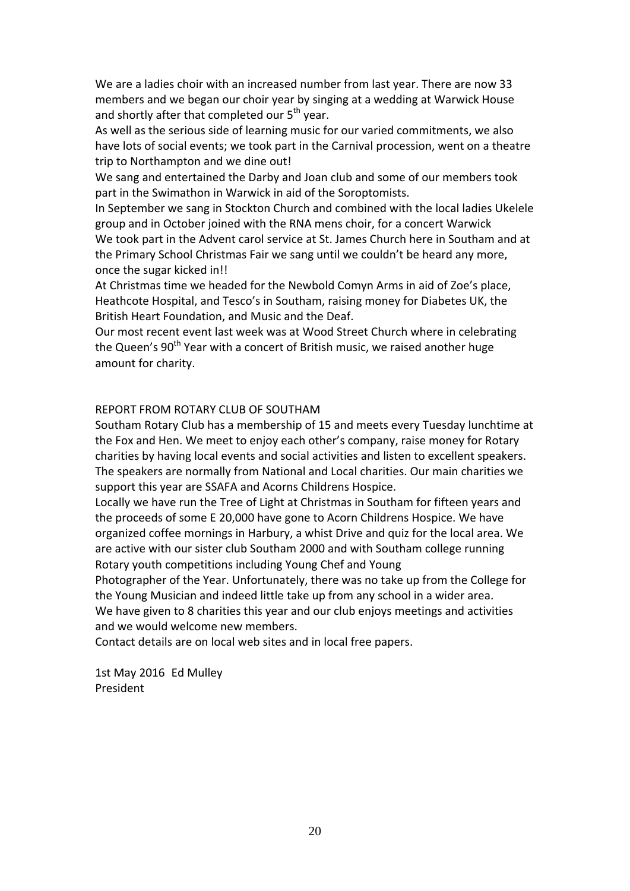We are a ladies choir with an increased number from last year. There are now 33 members and we began our choir year by singing at a wedding at Warwick House and shortly after that completed our  $5^{th}$  year.

As well as the serious side of learning music for our varied commitments, we also have lots of social events; we took part in the Carnival procession, went on a theatre trip to Northampton and we dine out!

We sang and entertained the Darby and Joan club and some of our members took part in the Swimathon in Warwick in aid of the Soroptomists.

In September we sang in Stockton Church and combined with the local ladies Ukelele group and in October joined with the RNA mens choir, for a concert Warwick We took part in the Advent carol service at St. James Church here in Southam and at the Primary School Christmas Fair we sang until we couldn't be heard any more, once the sugar kicked in!!

At Christmas time we headed for the Newbold Comyn Arms in aid of Zoe's place, Heathcote Hospital, and Tesco's in Southam, raising money for Diabetes UK, the British Heart Foundation, and Music and the Deaf.

Our most recent event last week was at Wood Street Church where in celebrating the Queen's 90<sup>th</sup> Year with a concert of British music, we raised another huge amount for charity.

#### REPORT FROM ROTARY CLUB OF SOUTHAM

Southam Rotary Club has a membership of 15 and meets every Tuesday lunchtime at the Fox and Hen. We meet to enjoy each other's company, raise money for Rotary charities by having local events and social activities and listen to excellent speakers. The speakers are normally from National and Local charities. Our main charities we support this year are SSAFA and Acorns Childrens Hospice.

Locally we have run the Tree of Light at Christmas in Southam for fifteen years and the proceeds of some E 20,000 have gone to Acorn Childrens Hospice. We have organized coffee mornings in Harbury, a whist Drive and quiz for the local area. We are active with our sister club Southam 2000 and with Southam college running Rotary youth competitions including Young Chef and Young

Photographer of the Year. Unfortunately, there was no take up from the College for the Young Musician and indeed little take up from any school in a wider area. We have given to 8 charities this year and our club enjoys meetings and activities and we would welcome new members.

Contact details are on local web sites and in local free papers.

1st May 2016 Ed Mulley President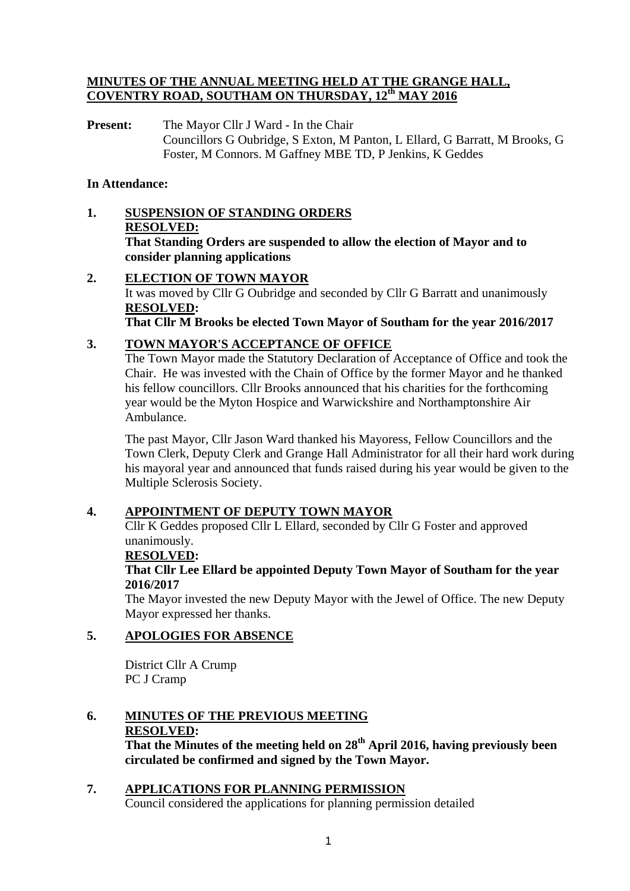#### **MINUTES OF THE ANNUAL MEETING HELD AT THE GRANGE HALL, COVENTRY ROAD, SOUTHAM ON THURSDAY, 12th MAY 2016**

**Present:** The Mayor Cllr J Ward - In the Chair Councillors G Oubridge, S Exton, M Panton, L Ellard, G Barratt, M Brooks, G Foster, M Connors. M Gaffney MBE TD, P Jenkins, K Geddes

## **In Attendance:**

- **1. SUSPENSION OF STANDING ORDERS RESOLVED: That Standing Orders are suspended to allow the election of Mayor and to consider planning applications**
- **2. ELECTION OF TOWN MAYOR** It was moved by Cllr G Oubridge and seconded by Cllr G Barratt and unanimously **RESOLVED: That Cllr M Brooks be elected Town Mayor of Southam for the year 2016/2017**<br> **3. TOWN MAYOR'S ACCEPTANCE OF OFFICE**

## **3. TOWN MAYOR'S ACCEPTANCE OF OFFICE**

The Town Mayor made the Statutory Declaration of Acceptance of Office and took the Chair. He was invested with the Chain of Office by the former Mayor and he thanked his fellow councillors. Cllr Brooks announced that his charities for the forthcoming year would be the Myton Hospice and Warwickshire and Northamptonshire Air Ambulance.

 The past Mayor, Cllr Jason Ward thanked his Mayoress, Fellow Councillors and the Town Clerk, Deputy Clerk and Grange Hall Administrator for all their hard work during his mayoral year and announced that funds raised during his year would be given to the Multiple Sclerosis Society.

## **4. APPOINTMENT OF DEPUTY TOWN MAYOR**

 Cllr K Geddes proposed Cllr L Ellard, seconded by Cllr G Foster and approved unanimously.

#### **RESOLVED:**

## **That Cllr Lee Ellard be appointed Deputy Town Mayor of Southam for the year 2016/2017**

 The Mayor invested the new Deputy Mayor with the Jewel of Office. The new Deputy Mayor expressed her thanks.

## **5. APOLOGIES FOR ABSENCE**

 District Cllr A Crump PC J Cramp

## **6. MINUTES OF THE PREVIOUS MEETING RESOLVED:**

 **That the Minutes of the meeting held on 28th April 2016, having previously been circulated be confirmed and signed by the Town Mayor.** 

## **7. APPLICATIONS FOR PLANNING PERMISSION**

Council considered the applications for planning permission detailed